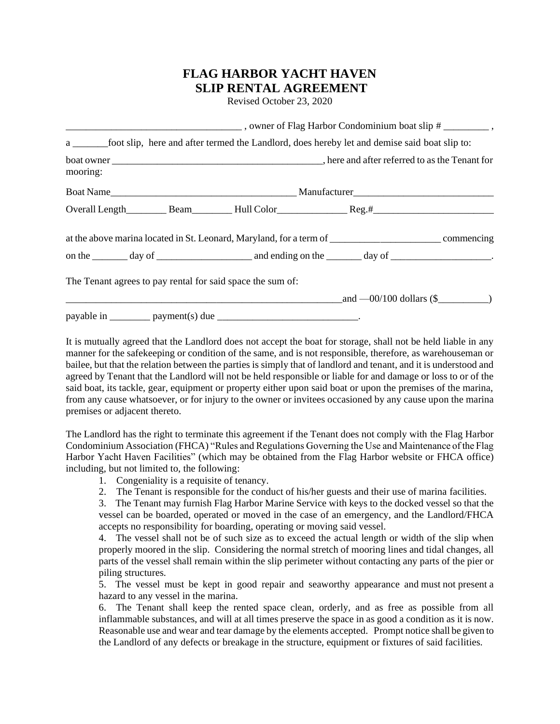## **FLAG HARBOR YACHT HAVEN SLIP RENTAL AGREEMENT**

Revised October 23, 2020

|          | a ________foot slip, here and after termed the Landlord, does hereby let and demise said boat slip to:         |                                |  |  |  |
|----------|----------------------------------------------------------------------------------------------------------------|--------------------------------|--|--|--|
| mooring: |                                                                                                                |                                |  |  |  |
|          |                                                                                                                |                                |  |  |  |
|          |                                                                                                                |                                |  |  |  |
|          | at the above marina located in St. Leonard, Maryland, for a term of ________________________________commencing |                                |  |  |  |
|          | on the $\_\_\_\_$ day of $\_\_\_\_\_\_$ and ending on the $\_\_\_\_$ day of $\_\_\_\_\_\_\_\_$ .               |                                |  |  |  |
|          | The Tenant agrees to pay rental for said space the sum of:                                                     |                                |  |  |  |
|          |                                                                                                                | $\_$ and $-00/100$ dollars (\$ |  |  |  |
|          |                                                                                                                |                                |  |  |  |

It is mutually agreed that the Landlord does not accept the boat for storage, shall not be held liable in any manner for the safekeeping or condition of the same, and is not responsible, therefore, as warehouseman or bailee, but that the relation between the parties is simply that of landlord and tenant, and it is understood and agreed by Tenant that the Landlord will not be held responsible or liable for and damage or loss to or of the said boat, its tackle, gear, equipment or property either upon said boat or upon the premises of the marina, from any cause whatsoever, or for injury to the owner or invitees occasioned by any cause upon the marina premises or adjacent thereto.

The Landlord has the right to terminate this agreement if the Tenant does not comply with the Flag Harbor Condominium Association (FHCA) "Rules and Regulations Governing the Use and Maintenance of the Flag Harbor Yacht Haven Facilities" (which may be obtained from the Flag Harbor website or FHCA office) including, but not limited to, the following:

- 1. Congeniality is a requisite of tenancy.
- 2. The Tenant is responsible for the conduct of his/her guests and their use of marina facilities.

3. The Tenant may furnish Flag Harbor Marine Service with keys to the docked vessel so that the vessel can be boarded, operated or moved in the case of an emergency, and the Landlord/FHCA accepts no responsibility for boarding, operating or moving said vessel.

4. The vessel shall not be of such size as to exceed the actual length or width of the slip when properly moored in the slip. Considering the normal stretch of mooring lines and tidal changes, all parts of the vessel shall remain within the slip perimeter without contacting any parts of the pier or piling structures.

5. The vessel must be kept in good repair and seaworthy appearance and must not present a hazard to any vessel in the marina.

6. The Tenant shall keep the rented space clean, orderly, and as free as possible from all inflammable substances, and will at all times preserve the space in as good a condition as it is now. Reasonable use and wear and tear damage by the elements accepted. Prompt notice shall be given to the Landlord of any defects or breakage in the structure, equipment or fixtures of said facilities.